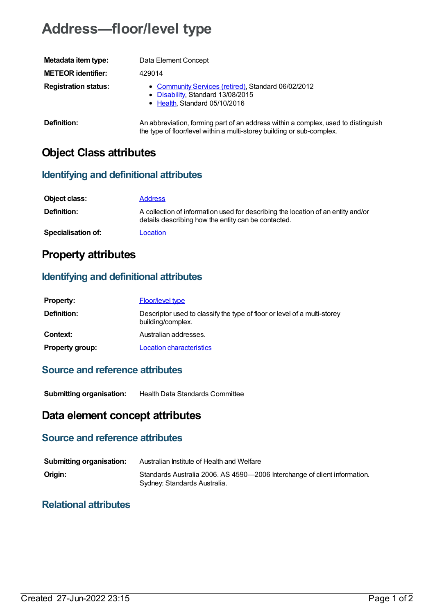# **Address—floor/level type**

| Metadata item type:         | Data Element Concept                                                                                                                                        |
|-----------------------------|-------------------------------------------------------------------------------------------------------------------------------------------------------------|
| <b>METEOR identifier:</b>   | 429014                                                                                                                                                      |
| <b>Registration status:</b> | • Community Services (retired), Standard 06/02/2012<br>• Disability, Standard 13/08/2015<br>• Health, Standard 05/10/2016                                   |
| Definition:                 | An abbreviation, forming part of an address within a complex, used to distinguish<br>the type of floor/level within a multi-storey building or sub-complex. |

# **Object Class attributes**

#### **Identifying and definitional attributes**

| Object class:             | <b>Address</b>                                                                                                                          |
|---------------------------|-----------------------------------------------------------------------------------------------------------------------------------------|
| <b>Definition:</b>        | A collection of information used for describing the location of an entity and/or<br>details describing how the entity can be contacted. |
| <b>Specialisation of:</b> | Location                                                                                                                                |

# **Property attributes**

### **Identifying and definitional attributes**

| <b>Property:</b>       | <b>Floor/level type</b>                                                                       |
|------------------------|-----------------------------------------------------------------------------------------------|
| Definition:            | Descriptor used to classify the type of floor or level of a multi-storey<br>building/complex. |
| Context:               | Australian addresses.                                                                         |
| <b>Property group:</b> | <b>Location characteristics</b>                                                               |

#### **Source and reference attributes**

**Submitting organisation:** Health Data Standards Committee

## **Data element concept attributes**

### **Source and reference attributes**

| <b>Submitting organisation:</b> | Australian Institute of Health and Welfare                                                                |
|---------------------------------|-----------------------------------------------------------------------------------------------------------|
| Origin:                         | Standards Australia 2006. AS 4590-2006 Interchange of client information.<br>Sydney: Standards Australia. |

#### **Relational attributes**